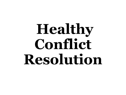# **Healthy Conflict Resolution**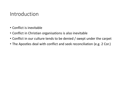#### Introduction

- Conflict is inevitable
- Conflict in Christian organisations is also inevitable
- Conflict in our culture tends to be denied / swept under the carpet
- The Apostles deal with conflict and seek reconciliation (e.g. 2 Cor.)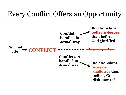# Every Conflict Offers an Opportunity

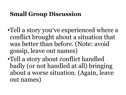# **Small Group Discussion**

- •Tell a story you've experienced where a conflict brought about a situation that was better than before. (Note: avoid gossip, leave out names)
- •Tell a story about conflict handled badly (or not handled at all) bringing about a worse situation. (Again, leave out names)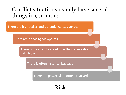# Conflict situations usually have several things in common:

There are high stakes and potential consequences

There are opposing viewpoints

There is uncertainty about how the conversation will play out

There is often historical baggage

There are powerful emotions involved

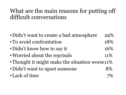# What are the main reasons for putting off difficult conversations

- Didn't want to create a bad atmosphere 29%
- To avoid confrontation 18%
- Didn't know how to say it 16%
- Worried about the reprisals 11%
- Thought it might make the situation worse11%
- Didn't want to upset someone 8%
- Lack of time 7%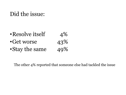# Did the issue:

- •Resolve itself 4%<br>•Get worse 43%
- 
- •Get worse 43%<br>•Stay the same 49% • Stay the same

The other 4% reported that someone else had tackled the issue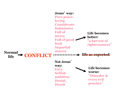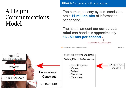## A Helpful Communications Model

**THING 1: Our brain is a filtration system** 

The human sensory system sends the brain 11 million bits of information per second.

The actual amount our conscious mind can handle is approximately 16 - 50 bits per second



CENTERLINE DIGITAL Source: Leonard Miodinow, Subliminal

@caitysmith

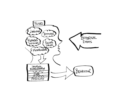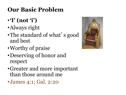# **Our Basic Problem**

- •**'I' (not 'i')**
- •Always right
- •The standard of what's good and best
- •Worthy of praise
- •Deserving of honor and respect
- •Greater and more important than those around me
- •James 4:1; Gal. 2:20

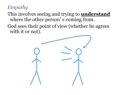#### *Empathy*

This involves seeing and trying to **understand** where the other person's coming from.

God sees their point of view (whether he agrees with it or not).

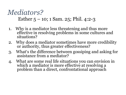# *Mediators?* Esther 5 – 10; 1 Sam. 25; Phil. 4:2-3

- 1. Why is a mediator less threatening and thus more effective in resolving problems in some cultures and situations?
- 2. Why does a mediator sometimes have more credibility or authority, thus greater effectiveness?
- 3. What's the difference between gossiping and asking for assistance from a mediator?
- 4. What are some real life situations you can envision in which a mediator is more effective at resolving a problem than a direct, confrontational approach?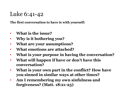# Luke 6:41-42

**The first conversation to have is with yourself:**

- **What is the issue?**
- **Why is it bothering you?**
- **What are your assumptions?**
- **What emotions are attached?**
- **What is your purpose in having the conversation?**
- **What will happen if have or don't have this conversation?**
- **What is your own part in the conflict? How have you sinned in similar ways at other times?**
- **Am I remembering my own sinfulness and forgiveness? (Matt. 18:21-25)**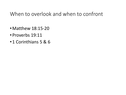#### When to overlook and when to confront

- •Matthew 18:15-20
- Proverbs 19:11
- 1 Corinthians 5 & 6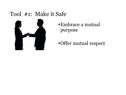# Tool #1: Make it Safe



Embrace a mutual purpose

Offer mutual respect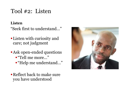# Tool #2: Listen

#### **Listen**

"Seek first to understand…"

- Listen with curiosity and care; not judgment
- **Ask open-ended questions** "Tell me more…"
	- "Help me understand..."
- Reflect back to make sure you have understood

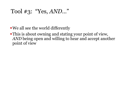# Tool #3: "Yes, *AND*…"

We all see the world differently

This is about owning and stating your point of view, *AND* being open and willing to hear and accept another point of view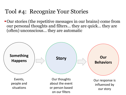# Tool #4: Recognize Your Stories

Our stories (the repetitive messages in our brains) come from our personal thoughts and filters… they are quick… they are (often) unconscious… they are automatic

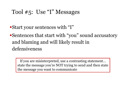# Tool #5: Use "I" Messages

- Start your sentences with "I"
- Sentences that start with "you" sound accusatory and blaming and will likely result in defensiveness

If you are misinterpreted, use a contrasting statement… state the message you're NOT trying to send and then state the message you want to communicate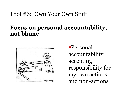#### Tool #6: Own Your Own Stuff

### **Focus on personal accountability, not blame**



Personal accountability = accepting responsibility for my own actions and non-actions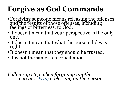# **Forgive as God Commands**

- Forgiving someone means releasing the offenses and the results of those offenses, including feelings of bitterness, to God.
- It doesn't mean that your perspective is the only one.
- It doesn't mean that what the person did was right.
- It doesn't mean that they should be trusted.
- It is not the same as reconciliation.

*Follow-up step when forgiving another person: Pray a blessing on the person*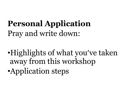# **Personal Application** Pray and write down:

•Highlights of what you've taken away from this workshop •Application steps